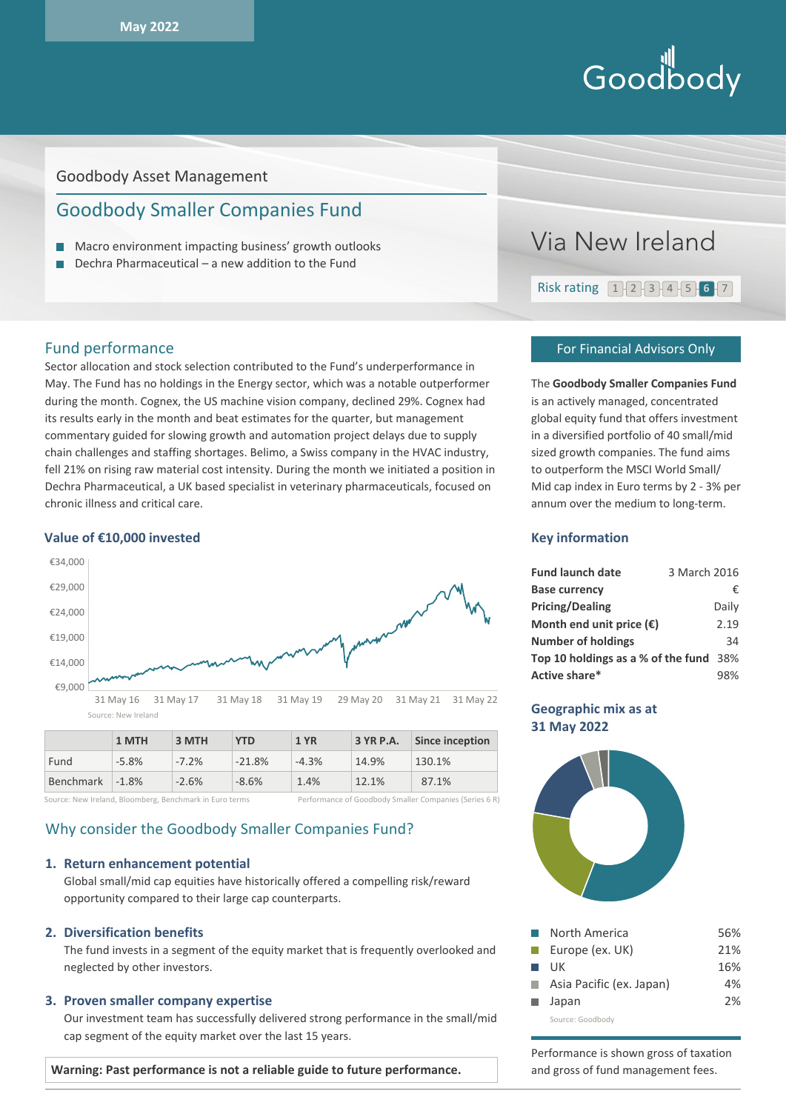# Hill<br>Goodbody

# Goodbody Asset Management

# Goodbody Smaller Companies Fund

- Macro environment impacting business' growth outlooks п
- $\Box$  Dechra Pharmaceutical a new addition to the Fund

# Fund performance

Sector allocation and stock selection contributed to the Fund's underperformance in May. The Fund has no holdings in the Energy sector, which was a notable outperformer during the month. Cognex, the US machine vision company, declined 29%. Cognex had its results early in the month and beat estimates for the quarter, but management commentary guided for slowing growth and automation project delays due to supply chain challenges and staffing shortages. Belimo, a Swiss company in the HVAC industry, fell 21% on rising raw material cost intensity. During the month we initiated a position in Dechra Pharmaceutical, a UK based specialist in veterinary pharmaceuticals, focused on chronic illness and critical care.

#### **Value of €10,000 invested**



|                 | 1 MTH   | 3 MTH   | YTD      | 1 YR    | 3 YR P.A. | Since inception |
|-----------------|---------|---------|----------|---------|-----------|-----------------|
| Fund            | $-5.8%$ | $-7.2%$ | $-21.8%$ | $-4.3%$ | 14.9%     | 130.1%          |
| Benchmark -1.8% |         | $-2.6%$ | $-8.6%$  | 1.4%    | 12.1%     | 87.1%           |

Source: New Ireland, Bloomberg, Benchmark in Euro terms Performance of Goodbody Smaller Companies (Series 6 R)

# Why consider the Goodbody Smaller Companies Fund?

#### **1. Return enhancement potential**

Global small/mid cap equities have historically offered a compelling risk/reward opportunity compared to their large cap counterparts.

### **2. Diversification benefits**

The fund invests in a segment of the equity market that is frequently overlooked and neglected by other investors.

#### **3. Proven smaller company expertise**

Our investment team has successfully delivered strong performance in the small/mid cap segment of the equity market over the last 15 years.

**Warning: Past performance is not a reliable guide to future performance.** 



#### For Financial Advisors Only

The **Goodbody Smaller Companies Fund** is an actively managed, concentrated global equity fund that offers investment in a diversified portfolio of 40 small/mid sized growth companies. The fund aims to outperform the MSCI World Small/ Mid cap index in Euro terms by 2 - 3% per annum over the medium to long-term.

# **Key information**

| <b>Fund launch date</b>                | 3 March 2016 |       |
|----------------------------------------|--------------|-------|
| <b>Base currency</b>                   |              | €     |
| <b>Pricing/Dealing</b>                 |              | Daily |
| Month end unit price $(\epsilon)$      |              | 2.19  |
| <b>Number of holdings</b>              |              | 34    |
| Top 10 holdings as a % of the fund 38% |              |       |
| Active share*                          |              | 98%   |

# **Geographic mix as at 31 May 2022**



| North America                  | 56% |
|--------------------------------|-----|
| $\blacksquare$ Europe (ex. UK) | 21% |
| $\blacksquare$ UK              | 16% |
| Asia Pacific (ex. Japan)       | 4%  |
| ■ Japan                        | 2%  |
|                                |     |

Source: Goodbody

Performance is shown gross of taxation and gross of fund management fees.